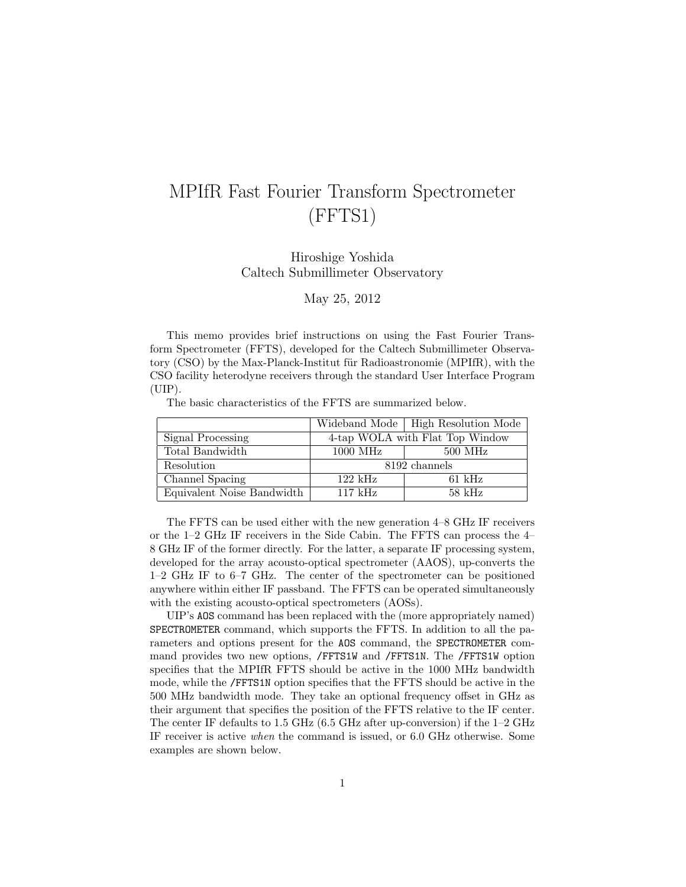## MPIfR Fast Fourier Transform Spectrometer (FFTS1)

Hiroshige Yoshida Caltech Submillimeter Observatory

May 25, 2012

This memo provides brief instructions on using the Fast Fourier Transform Spectrometer (FFTS), developed for the Caltech Submillimeter Observatory (CSO) by the Max-Planck-Institut für Radioastronomie (MPIfR), with the CSO facility heterodyne receivers through the standard User Interface Program (UIP).

The basic characteristics of the FFTS are summarized below.

|                            |                                 | Wideband Mode   High Resolution Mode |
|----------------------------|---------------------------------|--------------------------------------|
| Signal Processing          | 4-tap WOLA with Flat Top Window |                                      |
| Total Bandwidth            | $1000$ MHz                      | $500$ MHz                            |
| Resolution                 | 8192 channels                   |                                      |
| Channel Spacing            | $122 \text{ kHz}$               | $61 \text{ kHz}$                     |
| Equivalent Noise Bandwidth | $117 \text{ kHz}$               | $58$ kHz                             |

The FFTS can be used either with the new generation 4–8 GHz IF receivers or the 1–2 GHz IF receivers in the Side Cabin. The FFTS can process the 4– 8 GHz IF of the former directly. For the latter, a separate IF processing system, developed for the array acousto-optical spectrometer (AAOS), up-converts the 1–2 GHz IF to 6–7 GHz. The center of the spectrometer can be positioned anywhere within either IF passband. The FFTS can be operated simultaneously with the existing acousto-optical spectrometers  $(AOSs)$ .

UIP's AOS command has been replaced with the (more appropriately named) SPECTROMETER command, which supports the FFTS. In addition to all the parameters and options present for the AOS command, the SPECTROMETER command provides two new options, /FFTS1W and /FFTS1N. The /FFTS1W option specifies that the MPIfR FFTS should be active in the 1000 MHz bandwidth mode, while the /FFTS1N option specifies that the FFTS should be active in the 500 MHz bandwidth mode. They take an optional frequency offset in GHz as their argument that specifies the position of the FFTS relative to the IF center. The center IF defaults to 1.5 GHz (6.5 GHz after up-conversion) if the 1–2 GHz IF receiver is active when the command is issued, or 6.0 GHz otherwise. Some examples are shown below.